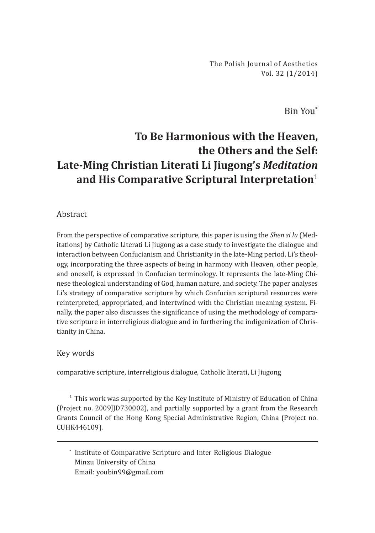The Polish Journal of Aesthetics Vol. 32 (1/2014)

Bin You\*

# **To Be Harmonious with the Heaven, the Others and the Self: Late-Ming Christian Literati Li Jiugong's** *Meditation* **and His Comparative Scriptural Interpretation**<sup>1</sup>

#### Abstract

From the perspective of comparative scripture, this paper is using the *Shen si lu* (Meditations) by Catholic Literati Li Jiugong as a case study to investigate the dialogue and interaction between Confucianism and Christianity in the late-Ming period. Li's theology, incorporating the three aspects of being in harmony with Heaven, other people, and oneself, is expressed in Confucian terminology. It represents the late-Ming Chinese theological understanding of God, human nature, and society. The paper analyses Li's strategy of comparative scripture by which Confucian scriptural resources were reinterpreted, appropriated, and intertwined with the Christian meaning system. Finally, the paper also discusses the significance of using the methodology of comparative scripture in interreligious dialogue and in furthering the indigenization of Christianity in China.

#### Key words

comparative scripture, interreligious dialogue, Catholic literati, Li Jiugong

\* Institute of Comparative Scripture and Inter Religious Dialogue Minzu University of China Email: youbin99@gmail.com

 $1$  This work was supported by the Key Institute of Ministry of Education of China (Project no. 2009JJD730002), and partially supported by a grant from the Research Grants Council of the Hong Kong Special Administrative Region, China (Project no. CUHK446109).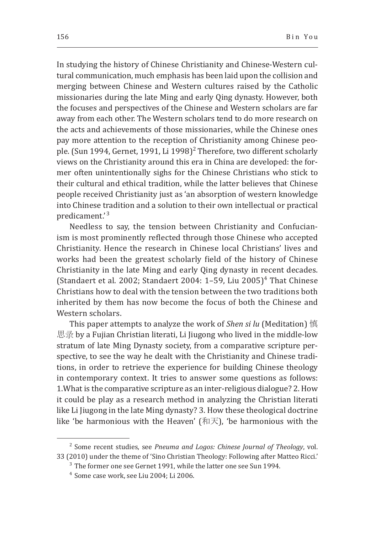In studying the history of Chinese Christianity and Chinese-Western cultural communication, much emphasis has been laid upon the collision and merging between Chinese and Western cultures raised by the Catholic missionaries during the late Ming and early Qing dynasty. However, both the focuses and perspectives of the Chinese and Western scholars are far away from each other. The Western scholars tend to do more research on the acts and achievements of those missionaries, while the Chinese ones pay more attention to the reception of Christianity among Chinese people. (Sun 1994, Gernet, 1991, Li 1998)<sup>2</sup> Therefore, two different scholarly views on the Christianity around this era in China are developed: the former often unintentionally sighs for the Chinese Christians who stick to their cultural and ethical tradition, while the latter believes that Chinese people received Christianity just as 'an absorption of western knowledge into Chinese tradition and a solution to their own intellectual or practical predicament.'<sup>3</sup>

Needless to say, the tension between Christianity and Confucianism is most prominently reflected through those Chinese who accepted Christianity. Hence the research in Chinese local Christians' lives and works had been the greatest scholarly field of the history of Chinese Christianity in the late Ming and early Qing dynasty in recent decades. (Standaert et al. 2002; Standaert 2004:  $1-59$ , Liu 2005)<sup>4</sup> That Chinese Christians how to deal with the tension between the two traditions both inherited by them has now become the focus of both the Chinese and Western scholars.

This paper attempts to analyze the work of *Shen si lu* (Meditation) 慎 思录 by a Fujian Christian literati, Li Jiugong who lived in the middle-low stratum of late Ming Dynasty society, from a comparative scripture perspective, to see the way he dealt with the Christianity and Chinese traditions, in order to retrieve the experience for building Chinese theology in contemporary context. It tries to answer some questions as follows: 1.What is the comparative scripture as an inter-religious dialogue? 2. How it could be play as a research method in analyzing the Christian literati like Li Jiugong in the late Ming dynasty? 3. How these theological doctrine like 'be harmonious with the Heaven'  $[π;π]$ , 'be harmonious with the

<sup>&</sup>lt;sup>2</sup> Some recent studies, see *Pneuma and Logos: Chinese Journal of Theology*, vol. 33 (2010) under the theme of 'Sino Christian Theology: Following after Matteo Ricci.'

<sup>&</sup>lt;sup>3</sup> The former one see Gernet 1991, while the latter one see Sun 1994.

<sup>&</sup>lt;sup>4</sup> Some case work, see Liu 2004; Li 2006.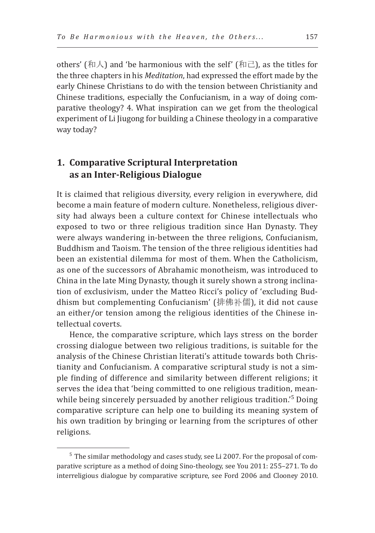others' (和人) and 'be harmonious with the self' (和己), as the titles for the three chapters in his *Meditation*, had expressed the effort made by the early Chinese Christians to do with the tension between Christianity and Chinese traditions, especially the Confucianism, in a way of doing comparative theology? 4. What inspiration can we get from the theological experiment of Li Jiugong for building a Chinese theology in a comparative way today?

## **1. Comparative Scriptural Interpretation as an Inter-Religious Dialogue**

It is claimed that religious diversity, every religion in everywhere, did become a main feature of modern culture. Nonetheless, religious diversity had always been a culture context for Chinese intellectuals who exposed to two or three religious tradition since Han Dynasty. They were always wandering in-between the three religions, Confucianism, Buddhism and Taoism. The tension of the three religious identities had been an existential dilemma for most of them. When the Catholicism, as one of the successors of Abrahamic monotheism, was introduced to China in the late Ming Dynasty, though it surely shown a strong inclination of exclusivism, under the Matteo Ricci's policy of 'excluding Buddhism but complementing Confucianism' (排佛补儒), it did not cause an either/or tension among the religious identities of the Chinese intellectual coverts.

Hence, the comparative scripture, which lays stress on the border crossing dialogue between two religious traditions, is suitable for the analysis of the Chinese Christian literati's attitude towards both Christianity and Confucianism. A comparative scriptural study is not a simple finding of difference and similarity between different religions; it serves the idea that 'being committed to one religious tradition, meanwhile being sincerely persuaded by another religious tradition.'<sup>5</sup> Doing comparative scripture can help one to building its meaning system of his own tradition by bringing or learning from the scriptures of other religions.

 $5$  The similar methodology and cases study, see Li 2007. For the proposal of comparative scripture as a method of doing Sino-theology, see You 2011: 255–271. To do interreligious dialogue by comparative scripture, see Ford 2006 and Clooney 2010.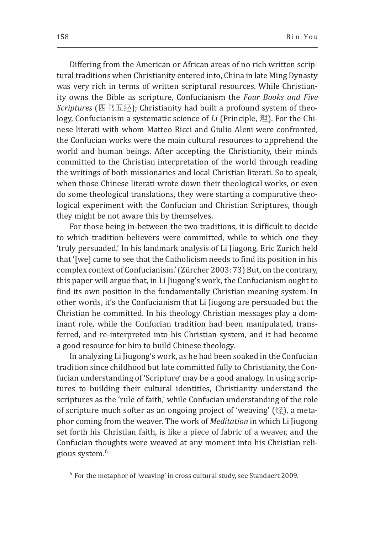Differing from the American or African areas of no rich written scriptural traditions when Christianity entered into, China in late Ming Dynasty was very rich in terms of written scriptural resources. While Christianity owns the Bible as scripture, Confucianism the *Four Books and Five Scriptures* (四书五经); Christianity had built a profound system of theology, Confucianism a systematic science of *Li* (Principle, 理). For the Chinese literati with whom Matteo Ricci and Giulio Aleni were confronted, the Confucian works were the main cultural resources to apprehend the world and human beings. After accepting the Christianity, their minds committed to the Christian interpretation of the world through reading the writings of both missionaries and local Christian literati. So to speak, when those Chinese literati wrote down their theological works, or even do some theological translations, they were starting a comparative theological experiment with the Confucian and Christian Scriptures, though they might be not aware this by themselves.

For those being in-between the two traditions, it is difficult to decide to which tradition believers were committed, while to which one they 'truly persuaded.' In his landmark analysis of Li Jiugong, Eric Zurich held that '[we] came to see that the Catholicism needs to find its position in his complex context of Confucianism.' (Zürcher 2003: 73) But, on the contrary, this paper will argue that, in Li Jiugong's work, the Confucianism ought to find its own position in the fundamentally Christian meaning system. In other words, it's the Confucianism that Li Jiugong are persuaded but the Christian he committed. In his theology Christian messages play a dominant role, while the Confucian tradition had been manipulated, transferred, and re-interpreted into his Christian system, and it had become a good resource for him to build Chinese theology.

In analyzing Li Jiugong's work, as he had been soaked in the Confucian tradition since childhood but late committed fully to Christianity, the Confucian understanding of 'Scripture' may be a good analogy. In using scriptures to building their cultural identities, Christianity understand the scriptures as the 'rule of faith,' while Confucian understanding of the role of scripture much softer as an ongoing project of 'weaving' (经), a metaphor coming from the weaver. The work of *Meditation* in which Li Jiugong set forth his Christian faith, is like a piece of fabric of a weaver, and the Confucian thoughts were weaved at any moment into his Christian religious system.6

 $6$  For the metaphor of 'weaving' in cross cultural study, see Standaert 2009.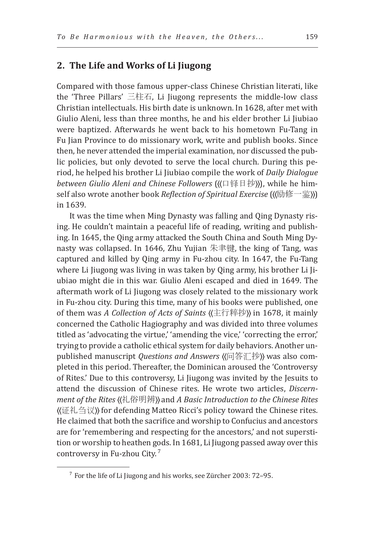### **2. The Life and Works of Li Jiugong**

Compared with those famous upper-class Chinese Christian literati, like the 'Three Pillars' 三柱石, Li Jiugong represents the middle-low class Christian intellectuals. His birth date is unknown. In 1628, after met with Giulio Aleni, less than three months, he and his elder brother Li Jiubiao were baptized. Afterwards he went back to his hometown Fu-Tang in Fu Jian Province to do missionary work, write and publish books. Since then, he never attended the imperial examination, nor discussed the public policies, but only devoted to serve the local church. During this period, he helped his brother Li Jiubiao compile the work of *Daily Dialogue between Giulio Aleni and Chinese Followers* (( $\Box \ncong \Box \ncong \Box$ ), while he himself also wrote another book *Reflection of Spiritual Exercise* ((()励修一鉴))) in 1639.

It was the time when Ming Dynasty was falling and Qing Dynasty rising. He couldn't maintain a peaceful life of reading, writing and publishing. In 1645, the Qing army attacked the South China and South Ming Dynasty was collapsed. In 1646, Zhu Yujian 朱聿键, the king of Tang, was captured and killed by Qing army in Fu-zhou city. In 1647, the Fu-Tang where Li Jiugong was living in was taken by Qing army, his brother Li Jiubiao might die in this war. Giulio Aleni escaped and died in 1649. The aftermath work of Li Jiugong was closely related to the missionary work in Fu-zhou city. During this time, many of his books were published, one of them was *A Collection of Acts of Saints* ((主行粹抄)) in 1678, it mainly concerned the Catholic Hagiography and was divided into three volumes titled as 'advocating the virtue,' 'amending the vice,' 'correcting the error,' trying to provide a catholic ethical system for daily behaviors. Another unpublished manuscript *Questions and Answers* ((问答汇抄)) was also completed in this period. Thereafter, the Dominican aroused the 'Controversy of Rites.' Due to this controversy, Li Jiugong was invited by the Jesuits to attend the discussion of Chinese rites. He wrote two articles, *Discernment of the Rites* 〈〈礼俗明辨〉〉 and *A Basic Introduction to the Chinese Rites*  〈〈证礼刍议〉〉 for defending Matteo Ricci's policy toward the Chinese rites. He claimed that both the sacrifice and worship to Confucius and ancestors are for 'remembering and respecting for the ancestors,' and not superstition or worship to heathen gods. In 1681, Li Jiugong passed away over this controversy in Fu-zhou City. <sup>7</sup>

 $7$  For the life of Li Jiugong and his works, see Zürcher 2003: 72–95.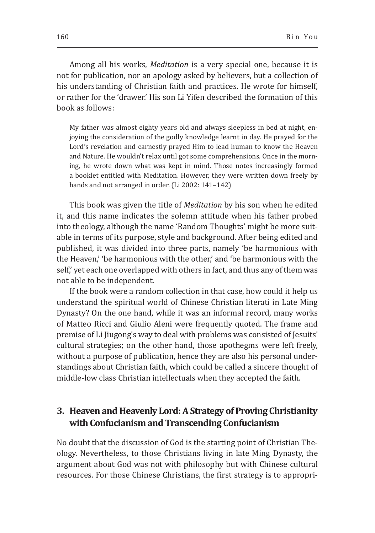Among all his works, *Meditation* is a very special one, because it is not for publication, nor an apology asked by believers, but a collection of his understanding of Christian faith and practices. He wrote for himself, or rather for the 'drawer.' His son Li Yifen described the formation of this book as follows:

My father was almost eighty years old and always sleepless in bed at night, enjoying the consideration of the godly knowledge learnt in day. He prayed for the Lord's revelation and earnestly prayed Him to lead human to know the Heaven and Nature. He wouldn't relax until got some comprehensions. Once in the morning, he wrote down what was kept in mind. Those notes increasingly formed a booklet entitled with Meditation. However, they were written down freely by hands and not arranged in order. (Li 2002: 141–142)

This book was given the title of *Meditation* by his son when he edited it, and this name indicates the solemn attitude when his father probed into theology, although the name 'Random Thoughts' might be more suitable in terms of its purpose, style and background. After being edited and published, it was divided into three parts, namely 'be harmonious with the Heaven,' 'be harmonious with the other,' and 'be harmonious with the self,' yet each one overlapped with others in fact, and thus any of them was not able to be independent.

If the book were a random collection in that case, how could it help us understand the spiritual world of Chinese Christian literati in Late Ming Dynasty? On the one hand, while it was an informal record, many works of Matteo Ricci and Giulio Aleni were frequently quoted. The frame and premise of Li Jiugong's way to deal with problems was consisted of Jesuits' cultural strategies; on the other hand, those apothegms were left freely, without a purpose of publication, hence they are also his personal understandings about Christian faith, which could be called a sincere thought of middle-low class Christian intellectuals when they accepted the faith.

## **3. Heaven and Heavenly Lord: A Strategy of Proving Christianity with Confucianism and Transcending Confucianism**

No doubt that the discussion of God is the starting point of Christian Theology. Nevertheless, to those Christians living in late Ming Dynasty, the argument about God was not with philosophy but with Chinese cultural resources. For those Chinese Christians, the first strategy is to appropri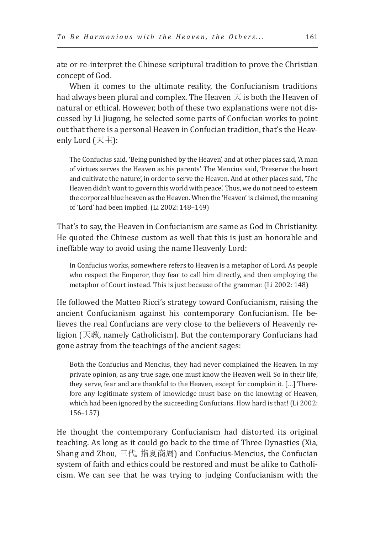ate or re-interpret the Chinese scriptural tradition to prove the Christian concept of God.

When it comes to the ultimate reality, the Confucianism traditions had always been plural and complex. The Heaven  $\overline{\mathcal{F}}$  is both the Heaven of natural or ethical. However, both of these two explanations were not discussed by Li Jiugong, he selected some parts of Confucian works to point out that there is a personal Heaven in Confucian tradition, that's the Heavenly Lord (天主):

The Confucius said, 'Being punished by the Heaven', and at other places said, 'A man of virtues serves the Heaven as his parents'. The Mencius said, 'Preserve the heart and cultivate the nature', in order to serve the Heaven. And at other places said, 'The Heaven didn't want to govern this world with peace'. Thus, we do not need to esteem the corporeal blue heaven as the Heaven. When the 'Heaven' is claimed, the meaning of 'Lord' had been implied. (Li 2002: 148–149)

That's to say, the Heaven in Confucianism are same as God in Christianity. He quoted the Chinese custom as well that this is just an honorable and ineffable way to avoid using the name Heavenly Lord:

In Confucius works, somewhere refers to Heaven is a metaphor of Lord. As people who respect the Emperor, they fear to call him directly, and then employing the metaphor of Court instead. This is just because of the grammar. (Li 2002: 148)

He followed the Matteo Ricci's strategy toward Confucianism, raising the ancient Confucianism against his contemporary Confucianism. He believes the real Confucians are very close to the believers of Heavenly religion (天教, namely Catholicism). But the contemporary Confucians had gone astray from the teachings of the ancient sages:

Both the Confucius and Mencius, they had never complained the Heaven. In my private opinion, as any true sage, one must know the Heaven well. So in their life, they serve, fear and are thankful to the Heaven, except for complain it. […] Therefore any legitimate system of knowledge must base on the knowing of Heaven, which had been ignored by the succeeding Confucians. How hard is that! (Li 2002: 156–157)

He thought the contemporary Confucianism had distorted its original teaching. As long as it could go back to the time of Three Dynasties (Xia, Shang and Zhou, 三代, 指夏商周) and Confucius-Mencius, the Confucian system of faith and ethics could be restored and must be alike to Catholicism. We can see that he was trying to judging Confucianism with the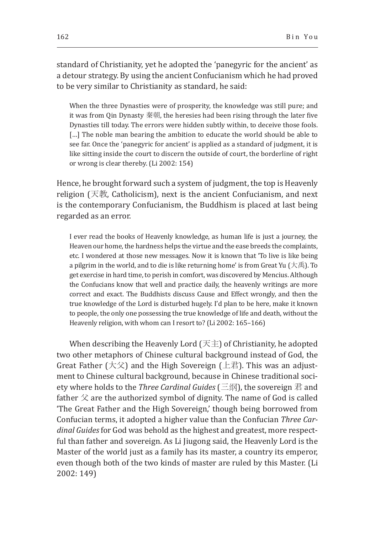standard of Christianity, yet he adopted the 'panegyric for the ancient' as a detour strategy. By using the ancient Confucianism which he had proved to be very similar to Christianity as standard, he said:

When the three Dynasties were of prosperity, the knowledge was still pure; and it was from Qin Dynasty 秦朝, the heresies had been rising through the later five Dynasties till today. The errors were hidden subtly within, to deceive those fools. [...] The noble man bearing the ambition to educate the world should be able to see far. Once the 'panegyric for ancient' is applied as a standard of judgment, it is like sitting inside the court to discern the outside of court, the borderline of right or wrong is clear thereby. (Li 2002: 154)

Hence, he brought forward such a system of judgment, the top is Heavenly religion (天教, Catholicism), next is the ancient Confucianism, and next is the contemporary Confucianism, the Buddhism is placed at last being regarded as an error.

I ever read the books of Heavenly knowledge, as human life is just a journey, the Heaven our home, the hardness helps the virtue and the ease breeds the complaints, etc. I wondered at those new messages. Now it is known that 'To live is like being a pilgrim in the world, and to die is like returning home' is from Great Yu (大禹). To get exercise in hard time, to perish in comfort, was discovered by Mencius. Although the Confucians know that well and practice daily, the heavenly writings are more correct and exact. The Buddhists discuss Cause and Effect wrongly, and then the true knowledge of the Lord is disturbed hugely. I'd plan to be here, make it known to people, the only one possessing the true knowledge of life and death, without the Heavenly religion, with whom can I resort to? (Li 2002: 165–166)

When describing the Heavenly Lord  $( \overrightarrow{\mathcal{F}} \pm )$  of Christianity, he adopted two other metaphors of Chinese cultural background instead of God, the Great Father  $(\pm \hat{\chi})$  and the High Sovereign (上君). This was an adjustment to Chinese cultural background, because in Chinese traditional society where holds to the *Three Cardinal Guides* (三纲), the sovereign 君 and father  $\hat{\chi}$  are the authorized symbol of dignity. The name of God is called 'The Great Father and the High Sovereign,' though being borrowed from Confucian terms, it adopted a higher value than the Confucian *Three Cardinal Guides* for God was behold as the highest and greatest, more respectful than father and sovereign. As Li Jiugong said, the Heavenly Lord is the Master of the world just as a family has its master, a country its emperor, even though both of the two kinds of master are ruled by this Master. (Li 2002: 149)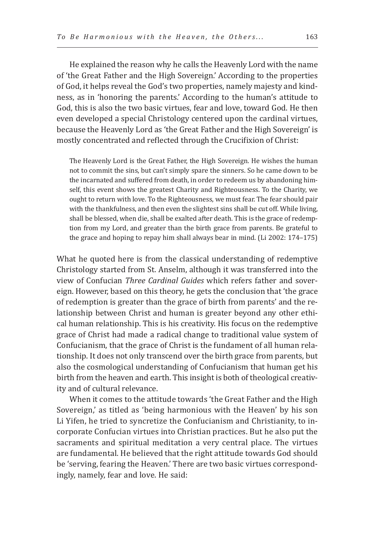He explained the reason why he calls the Heavenly Lord with the name of 'the Great Father and the High Sovereign.' According to the properties of God, it helps reveal the God's two properties, namely majesty and kindness, as in 'honoring the parents.' According to the human's attitude to God, this is also the two basic virtues, fear and love, toward God. He then even developed a special Christology centered upon the cardinal virtues, because the Heavenly Lord as 'the Great Father and the High Sovereign' is mostly concentrated and reflected through the Crucifixion of Christ:

The Heavenly Lord is the Great Father, the High Sovereign. He wishes the human not to commit the sins, but can't simply spare the sinners. So he came down to be the incarnated and suffered from death, in order to redeem us by abandoning himself, this event shows the greatest Charity and Righteousness. To the Charity, we ought to return with love. To the Righteousness, we must fear. The fear should pair with the thankfulness, and then even the slightest sins shall be cut off. While living, shall be blessed, when die, shall be exalted after death. This is the grace of redemption from my Lord, and greater than the birth grace from parents. Be grateful to the grace and hoping to repay him shall always bear in mind. (Li 2002: 174–175)

What he quoted here is from the classical understanding of redemptive Christology started from St. Anselm, although it was transferred into the view of Confucian *Three Cardinal Guides* which refers father and sovereign. However, based on this theory, he gets the conclusion that 'the grace of redemption is greater than the grace of birth from parents' and the relationship between Christ and human is greater beyond any other ethical human relationship. This is his creativity. His focus on the redemptive grace of Christ had made a radical change to traditional value system of Confucianism, that the grace of Christ is the fundament of all human relationship. It does not only transcend over the birth grace from parents, but also the cosmological understanding of Confucianism that human get his birth from the heaven and earth. This insight is both of theological creativity and of cultural relevance.

When it comes to the attitude towards 'the Great Father and the High Sovereign,' as titled as 'being harmonious with the Heaven' by his son Li Yifen, he tried to syncretize the Confucianism and Christianity, to incorporate Confucian virtues into Christian practices. But he also put the sacraments and spiritual meditation a very central place. The virtues are fundamental. He believed that the right attitude towards God should be 'serving, fearing the Heaven.' There are two basic virtues correspondingly, namely, fear and love. He said: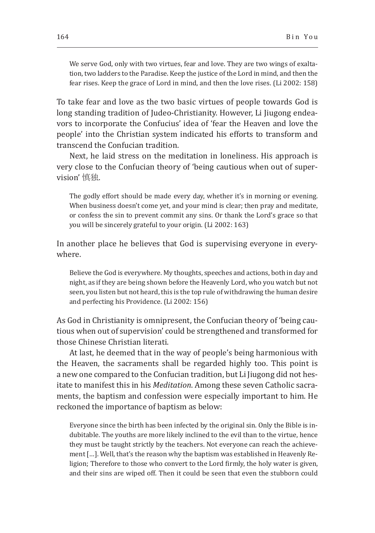We serve God, only with two virtues, fear and love. They are two wings of exaltation, two ladders to the Paradise. Keep the justice of the Lord in mind, and then the fear rises. Keep the grace of Lord in mind, and then the love rises. (Li 2002: 158)

To take fear and love as the two basic virtues of people towards God is long standing tradition of Judeo-Christianity. However, Li Jiugong endeavors to incorporate the Confucius' idea of 'fear the Heaven and love the people' into the Christian system indicated his efforts to transform and transcend the Confucian tradition.

Next, he laid stress on the meditation in loneliness. His approach is very close to the Confucian theory of 'being cautious when out of supervision' 慎独.

The godly effort should be made every day, whether it's in morning or evening. When business doesn't come yet, and your mind is clear; then pray and meditate, or confess the sin to prevent commit any sins. Or thank the Lord's grace so that you will be sincerely grateful to your origin. (Li 2002: 163)

In another place he believes that God is supervising everyone in everywhere.

Believe the God is everywhere. My thoughts, speeches and actions, both in day and night, as if they are being shown before the Heavenly Lord, who you watch but not seen, you listen but not heard, this is the top rule of withdrawing the human desire and perfecting his Providence. (Li 2002: 156)

As God in Christianity is omnipresent, the Confucian theory of 'being cautious when out of supervision' could be strengthened and transformed for those Chinese Christian literati.

At last, he deemed that in the way of people's being harmonious with the Heaven, the sacraments shall be regarded highly too. This point is a new one compared to the Confucian tradition, but Li Jiugong did not hesitate to manifest this in his *Meditation*. Among these seven Catholic sacraments, the baptism and confession were especially important to him. He reckoned the importance of baptism as below:

Everyone since the birth has been infected by the original sin. Only the Bible is indubitable. The youths are more likely inclined to the evil than to the virtue, hence they must be taught strictly by the teachers. Not everyone can reach the achievement […]. Well, that's the reason why the baptism was established in Heavenly Religion; Therefore to those who convert to the Lord firmly, the holy water is given, and their sins are wiped off. Then it could be seen that even the stubborn could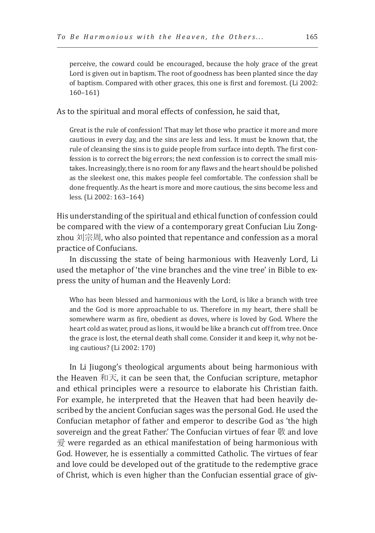perceive, the coward could be encouraged, because the holy grace of the great Lord is given out in baptism. The root of goodness has been planted since the day of baptism. Compared with other graces, this one is first and foremost. (Li 2002: 160–161)

As to the spiritual and moral effects of confession, he said that,

Great is the rule of confession! That may let those who practice it more and more cautious in every day, and the sins are less and less. It must be known that, the rule of cleansing the sins is to guide people from surface into depth. The first confession is to correct the big errors; the next confession is to correct the small mistakes. Increasingly, there is no room for any flaws and the heart should be polished as the sleekest one, this makes people feel comfortable. The confession shall be done frequently. As the heart is more and more cautious, the sins become less and less. (Li 2002: 163–164)

His understanding of the spiritual and ethical function of confession could be compared with the view of a contemporary great Confucian Liu Zongzhou 刘宗周, who also pointed that repentance and confession as a moral practice of Confucians.

In discussing the state of being harmonious with Heavenly Lord, Li used the metaphor of 'the vine branches and the vine tree' in Bible to express the unity of human and the Heavenly Lord:

Who has been blessed and harmonious with the Lord, is like a branch with tree and the God is more approachable to us. Therefore in my heart, there shall be somewhere warm as fire, obedient as doves, where is loved by God. Where the heart cold as water, proud as lions, it would be like a branch cut off from tree. Once the grace is lost, the eternal death shall come. Consider it and keep it, why not being cautious? (Li 2002: 170)

In Li Jiugong's theological arguments about being harmonious with the Heaven 和天, it can be seen that, the Confucian scripture, metaphor and ethical principles were a resource to elaborate his Christian faith. For example, he interpreted that the Heaven that had been heavily described by the ancient Confucian sages was the personal God. He used the Confucian metaphor of father and emperor to describe God as 'the high sovereign and the great Father.' The Confucian virtues of fear 敬 and love 爱 were regarded as an ethical manifestation of being harmonious with God. However, he is essentially a committed Catholic. The virtues of fear and love could be developed out of the gratitude to the redemptive grace of Christ, which is even higher than the Confucian essential grace of giv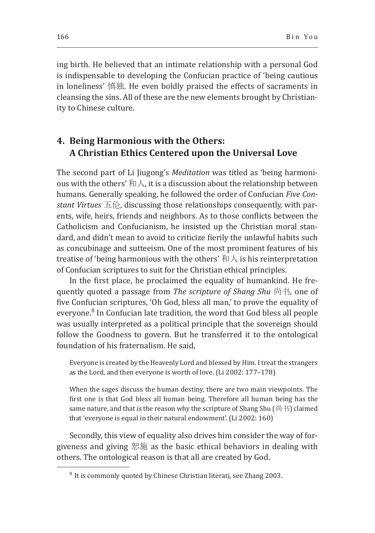ing birth. He believed that an intimate relationship with a personal God is indispensable to developing the Confucian practice of 'being cautious in loneliness' 慎独. He even boldly praised the effects of sacraments in cleansing the sins. All of these are the new elements brought by Christianity to Chinese culture.

## **4. Being Harmonious with the Others: A Christian Ethics Centered upon the Universal Love**

The second part of Li Jiugong's *Meditation* was titled as 'being harmonious with the others' 和人, it is a discussion about the relationship between humans. Generally speaking, he followed the order of Confucian *Five Constant Virtues* 五伦, discussing those relationships consequently, with parents, wife, heirs, friends and neighbors. As to those conflicts between the Catholicism and Confucianism, he insisted up the Christian moral standard, and didn't mean to avoid to criticize fierily the unlawful habits such as concubinage and sutteeism. One of the most prominent features of his treatise of 'being harmonious with the others' 和人 is his reinterpretation of Confucian scriptures to suit for the Christian ethical principles.

In the first place, he proclaimed the equality of humankind. He frequently quoted a passage from *The scripture of Shang Shu* 尚书, one of five Confucian scriptures, 'Oh God, bless all man,' to prove the equality of everyone.<sup>8</sup> In Confucian late tradition, the word that God bless all people was usually interpreted as a political principle that the sovereign should follow the Goodness to govern. But he transferred it to the ontological foundation of his fraternalism. He said,

Everyone is created by the Heavenly Lord and blessed by Him. I treat the strangers as the Lord, and then everyone is worth of love. (Li 2002: 177–178)

When the sages discuss the human destiny, there are two main viewpoints. The first one is that God bless all human being. Therefore all human being has the same nature, and that is the reason why the scripture of Shang Shu (尚书) claimed that 'everyone is equal in their natural endowment'. (Li 2002: 160)

Secondly, this view of equality also drives him consider the way of forgiveness and giving 恕施 as the basic ethical behaviors in dealing with others. The ontological reason is that all are created by God.

 $8$  It is commonly quoted by Chinese Christian literati, see Zhang 2003.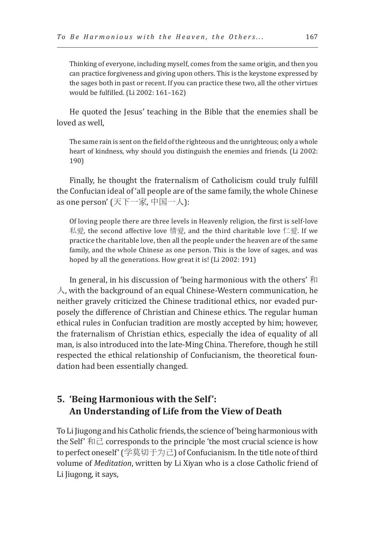Thinking of everyone, including myself, comes from the same origin, and then you can practice forgiveness and giving upon others. This is the keystone expressed by the sages both in past or recent. If you can practice these two, all the other virtues would be fulfilled. (Li 2002: 161–162)

He quoted the Jesus' teaching in the Bible that the enemies shall be loved as well,

The same rain is sent on the field of the righteous and the unrighteous; only a whole heart of kindness, why should you distinguish the enemies and friends. (Li 2002: 190)

Finally, he thought the fraternalism of Catholicism could truly fulfill the Confucian ideal of 'all people are of the same family, the whole Chinese as one person' (天下一家, 中国一人):

Of loving people there are three levels in Heavenly religion, the first is self-love 私爱, the second affective love 情爱, and the third charitable love 仁爱. If we practice the charitable love, then all the people under the heaven are of the same family, and the whole Chinese as one person. This is the love of sages, and was hoped by all the generations. How great it is! (Li 2002: 191)

In general, in his discussion of 'being harmonious with the others' 和  $\lambda$ , with the background of an equal Chinese-Western communication, he neither gravely criticized the Chinese traditional ethics, nor evaded purposely the difference of Christian and Chinese ethics. The regular human ethical rules in Confucian tradition are mostly accepted by him; however, the fraternalism of Christian ethics, especially the idea of equality of all man, is also introduced into the late-Ming China. Therefore, though he still respected the ethical relationship of Confucianism, the theoretical foundation had been essentially changed.

## **5. 'Being Harmonious with the Self': An Understanding of Life from the View of Death**

To Li Jiugong and his Catholic friends, the science of 'being harmonious with the Self'  $\hbar$   $\Xi$  corresponds to the principle 'the most crucial science is how to perfect oneself' (学莫切于为己) of Confucianism. In the title note of third volume of *Meditation*, written by Li Xiyan who is a close Catholic friend of Li Jiugong, it says,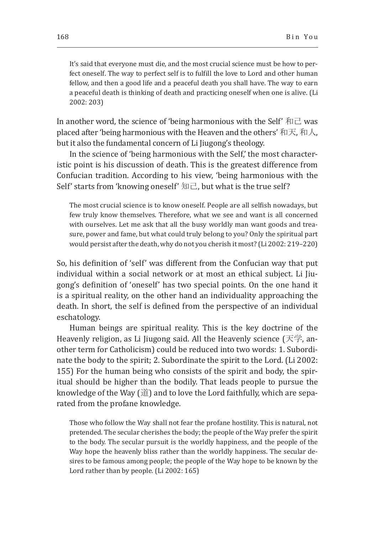It's said that everyone must die, and the most crucial science must be how to perfect oneself. The way to perfect self is to fulfill the love to Lord and other human fellow, and then a good life and a peaceful death you shall have. The way to earn a peaceful death is thinking of death and practicing oneself when one is alive. (Li 2002: 203)

In another word, the science of 'being harmonious with the Self'  $\hbar$   $\Box$  was placed after 'being harmonious with the Heaven and the others' 和天, 和人, but it also the fundamental concern of Li Jiugong's theology.

In the science of 'being harmonious with the Self,' the most characteristic point is his discussion of death. This is the greatest difference from Confucian tradition. According to his view, 'being harmonious with the Self' starts from 'knowing oneself' 知己, but what is the true self?

The most crucial science is to know oneself. People are all selfish nowadays, but few truly know themselves. Therefore, what we see and want is all concerned with ourselves. Let me ask that all the busy worldly man want goods and treasure, power and fame, but what could truly belong to you? Only the spiritual part would persist after the death, why do not you cherish it most? (Li 2002: 219–220)

So, his definition of 'self' was different from the Confucian way that put individual within a social network or at most an ethical subject. Li Jiugong's definition of 'oneself' has two special points. On the one hand it is a spiritual reality, on the other hand an individuality approaching the death. In short, the self is defined from the perspective of an individual eschatology.

Human beings are spiritual reality. This is the key doctrine of the Heavenly religion, as Li Jiugong said. All the Heavenly science (天学, another term for Catholicism) could be reduced into two words: 1. Subordinate the body to the spirit; 2. Subordinate the spirit to the Lord. (Li 2002: 155) For the human being who consists of the spirit and body, the spiritual should be higher than the bodily. That leads people to pursue the knowledge of the Way (道) and to love the Lord faithfully, which are separated from the profane knowledge.

Those who follow the Way shall not fear the profane hostility. This is natural, not pretended. The secular cherishes the body; the people of the Way prefer the spirit to the body. The secular pursuit is the worldly happiness, and the people of the Way hope the heavenly bliss rather than the worldly happiness. The secular desires to be famous among people; the people of the Way hope to be known by the Lord rather than by people. (Li 2002: 165)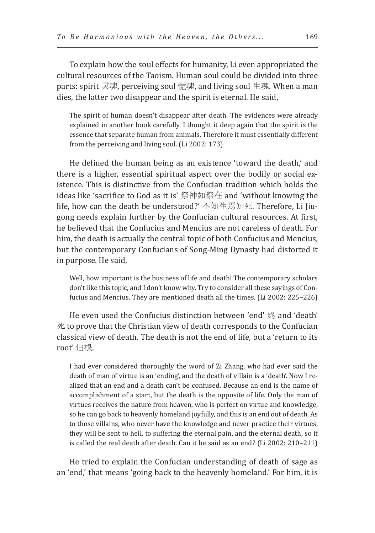To explain how the soul effects for humanity, Li even appropriated the cultural resources of the Taoism. Human soul could be divided into three parts: spirit 灵魂, perceiving soul 觉魂, and living soul 生魂. When a man dies, the latter two disappear and the spirit is eternal. He said,

The spirit of human doesn't disappear after death. The evidences were already explained in another book carefully. I thought it deep again that the spirit is the essence that separate human from animals. Therefore it must essentially different from the perceiving and living soul. (Li 2002: 173)

He defined the human being as an existence 'toward the death,' and there is a higher, essential spiritual aspect over the bodily or social existence. This is distinctive from the Confucian tradition which holds the ideas like 'sacrifice to God as it is' 祭神如祭在 and 'without knowing the life, how can the death be understood?' 不知生焉知死. Therefore, Li Jiugong needs explain further by the Confucian cultural resources. At first, he believed that the Confucius and Mencius are not careless of death. For him, the death is actually the central topic of both Confucius and Mencius, but the contemporary Confucians of Song-Ming Dynasty had distorted it in purpose. He said,

Well, how important is the business of life and death! The contemporary scholars don't like this topic, and I don't know why. Try to consider all these sayings of Confucius and Mencius. They are mentioned death all the times. (Li 2002: 225–226)

He even used the Confucius distinction between 'end' 终 and 'death' 死 to prove that the Christian view of death corresponds to the Confucian classical view of death. The death is not the end of life, but a 'return to its root' 归根.

I had ever considered thoroughly the word of Zi Zhang, who had ever said the death of man of virtue is an 'ending', and the death of villain is a 'death'. Now I realized that an end and a death can't be confused. Because an end is the name of accomplishment of a start, but the death is the opposite of life. Only the man of virtues receives the nature from heaven, who is perfect on virtue and knowledge, so he can go back to heavenly homeland joyfully, and this is an end out of death. As to those villains, who never have the knowledge and never practice their virtues, they will be sent to hell, to suffering the eternal pain, and the eternal death, so it is called the real death after death. Can it be said as an end? (Li 2002: 210–211)

He tried to explain the Confucian understanding of death of sage as an 'end,' that means 'going back to the heavenly homeland.' For him, it is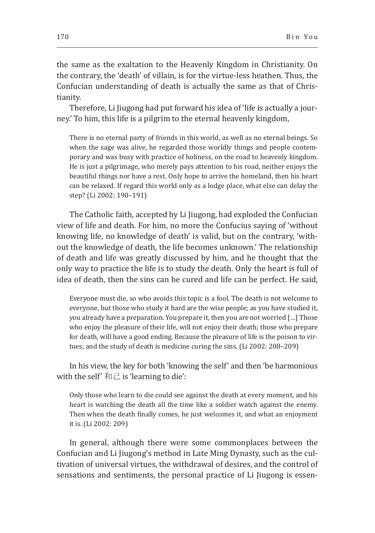the same as the exaltation to the Heavenly Kingdom in Christianity. On the contrary, the 'death' of villain, is for the virtue-less heathen. Thus, the Confucian understanding of death is actually the same as that of Christianity.

Therefore, Li Jiugong had put forward his idea of 'life is actually a journey.' To him, this life is a pilgrim to the eternal heavenly kingdom,

There is no eternal party of friends in this world, as well as no eternal beings. So when the sage was alive, he regarded those worldly things and people contemporary and was busy with practice of holiness, on the road to heavenly kingdom. He is just a pilgrimage, who merely pays attention to his road, neither enjoys the beautiful things nor have a rest. Only hope to arrive the homeland, then his heart can be relaxed. If regard this world only as a lodge place, what else can delay the step? (Li 2002: 190–191)

The Catholic faith, accepted by Li Jiugong, had exploded the Confucian view of life and death. For him, no more the Confucius saying of 'without knowing life, no knowledge of death' is valid, but on the contrary, 'without the knowledge of death, the life becomes unknown.' The relationship of death and life was greatly discussed by him, and he thought that the only way to practice the life is to study the death. Only the heart is full of idea of death, then the sins can be cured and life can be perfect. He said,

Everyone must die, so who avoids this topic is a fool. The death is not welcome to everyone, but those who study it hard are the wise people; as you have studied it, you already have a preparation. You prepare it, then you are not worried […] Those who enjoy the pleasure of their life, will not enjoy their death; those who prepare for death, will have a good ending. Because the pleasure of life is the poison to virtues; and the study of death is medicine curing the sins. (Li 2002: 208–209)

In his view, the key for both 'knowing the self' and then 'be harmonious with the self'  $\hbar$   $\Box$  is 'learning to die':

Only those who learn to die could see against the death at every moment, and his heart is watching the death all the time like a soldier watch against the enemy. Then when the death finally comes, he just welcomes it, and what an enjoyment it is. (Li 2002: 209)

In general, although there were some commonplaces between the Confucian and Li Jiugong's method in Late Ming Dynasty, such as the cultivation of universal virtues, the withdrawal of desires, and the control of sensations and sentiments, the personal practice of Li Jiugong is essen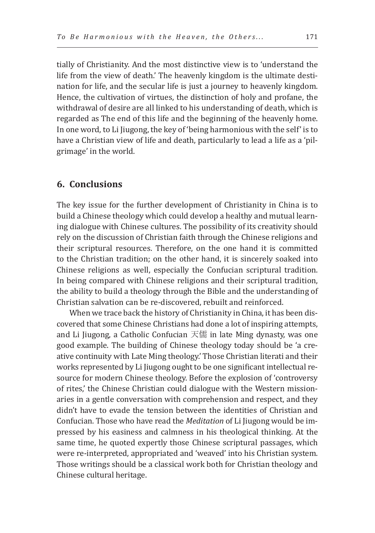tially of Christianity. And the most distinctive view is to 'understand the life from the view of death.' The heavenly kingdom is the ultimate destination for life, and the secular life is just a journey to heavenly kingdom. Hence, the cultivation of virtues, the distinction of holy and profane, the withdrawal of desire are all linked to his understanding of death, which is regarded as The end of this life and the beginning of the heavenly home. In one word, to Li Jiugong, the key of 'being harmonious with the self' is to have a Christian view of life and death, particularly to lead a life as a 'pilgrimage' in the world.

#### **6. Conclusions**

The key issue for the further development of Christianity in China is to build a Chinese theology which could develop a healthy and mutual learning dialogue with Chinese cultures. The possibility of its creativity should rely on the discussion of Christian faith through the Chinese religions and their scriptural resources. Therefore, on the one hand it is committed to the Christian tradition; on the other hand, it is sincerely soaked into Chinese religions as well, especially the Confucian scriptural tradition. In being compared with Chinese religions and their scriptural tradition, the ability to build a theology through the Bible and the understanding of Christian salvation can be re-discovered, rebuilt and reinforced.

When we trace back the history of Christianity in China, it has been discovered that some Chinese Christians had done a lot of inspiring attempts, and Li Jiugong, a Catholic Confucian 天儒 in late Ming dynasty, was one good example. The building of Chinese theology today should be 'a creative continuity with Late Ming theology.' Those Christian literati and their works represented by Li Jiugong ought to be one significant intellectual resource for modern Chinese theology. Before the explosion of 'controversy of rites,' the Chinese Christian could dialogue with the Western missionaries in a gentle conversation with comprehension and respect, and they didn't have to evade the tension between the identities of Christian and Confucian. Those who have read the *Meditation* of Li Jiugong would be impressed by his easiness and calmness in his theological thinking. At the same time, he quoted expertly those Chinese scriptural passages, which were re-interpreted, appropriated and 'weaved' into his Christian system. Those writings should be a classical work both for Christian theology and Chinese cultural heritage.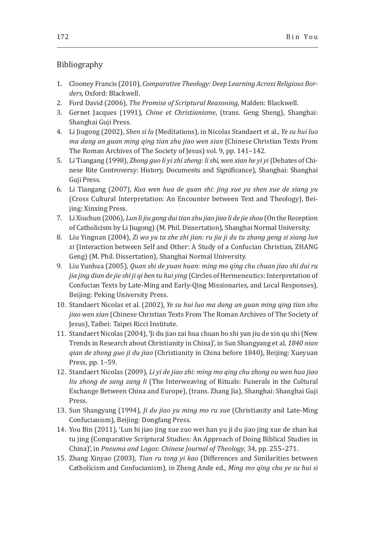#### Bibliography

- 1. Clooney Francis (2010), *Comparative Theology: Deep Learning Across Religious Borders,* Oxford: Blackwell.
- 2. Ford David (2006), *The Promise of Scriptural Reasoning*, Malden: Blackwell.
- 3. Gernet Jacques (1991), *Chine et Christianisme*, (trans. Geng Sheng), Shanghai: Shanghai Guji Press.
- 4. Li Jiugong (2002), *Shen si lu* (Meditations), in Nicolas Standaert et al., *Ye su hui luo ma dang an guan ming qing tian zhu jiao wen xian* (Chinese Christian Texts From The Roman Archives of The Society of Jesus) vol. 9, pp. 141–142.
- 5. Li Tiangang (1998), *Zhong guo li yi zhi zheng: li shi, wen xian he yi yi* (Debates of Chinese Rite Controversy: History, Documents and Significance), Shanghai: Shanghai Guji Press.
- 6. Li Tiangang (2007), *Kua wen hua de quan shi: jing xue yu shen xue de xiang yu* (Cross Cultural Interpretation: An Encounter between Text and Theology), Beijing: Xinxing Press.
- 7. Li Xiuchun (2006), *Lun li jiu gong dui tian zhu jiao jiao li de jie shou* (On the Reception of Catholicism by Li Jiugong) (M. Phil. Dissertation), Shanghai Normal University.
- 8. Liu Yingnan (2004), *Zi wo yu ta zhe zhi jian: ru jia ji du tu zhang geng si xiang lun xi* (Interaction between Self and Other: A Study of a Confucian Christian, ZHANG Geng) (M. Phil. Dissertation), Shanghai Normal University.
- 9. Liu Yunhua (2005), *Quan shi de yuan huan: ming mo qing chu chuan jiao shi dui ru jia jing dian de jie shi ji qi ben tu hui ying* (Circles of Hermeneutics: Interpretation of Confucian Texts by Late-Ming and Early-Qing Missionaries, and Local Responses)*,* Beijing: Peking University Press.
- 10. Standaert Nicolas et al. (2002), *Ye su hui luo ma dang an guan ming qing tian zhu jiao wen xian* (Chinese Christian Texts From The Roman Archives of The Society of Jesus), Taibei: Taipei Ricci Institute.
- 11. Standaert Nicolas (2004), 'Ji du jiao zai hua chuan bo shi yan jiu de xin qu shi (New Trends in Research about Christianity in China)', in Sun Shangyang et al, *1840 nian qian de zhong guo ji du jiao* (Christianity in China before 1840), Beijing: Xueyuan Press, pp. 1–59.
- 12. Standaert Nicolas (2009), *Li yi de jiao zhi: ming mo qing chu zhong ou wen hua jiao liu zhong de sang zang li* (The Interweaving of Rituals: Funerals in the Cultural Exchange Between China and Europe), (trans. Zhang Jia), Shanghai: Shanghai Guji Press.
- 13. Sun Shangyang (1994), *Ji du jiao yu ming mo ru xue* (Christianity and Late-Ming Confucianism)*,* Beijing: Dongfang Press.
- 14. You Bin (2011), 'Lun bi jiao jing xue zuo wei han yu ji du jiao jing xue de zhan kai tu jing (Comparative Scriptural Studies: An Approach of Doing Biblical Studies in China)', in *Pneuma and Logos: Chinese Journal of Theology*, 34, pp. 255–271.
- 15. Zhang Xinyao (2003), *Tian ru tong yi kao* (Differences and Similarities between Catholicism and Confucianism), in Zheng Ande ed., *Ming mo qing chu ye su hui si*